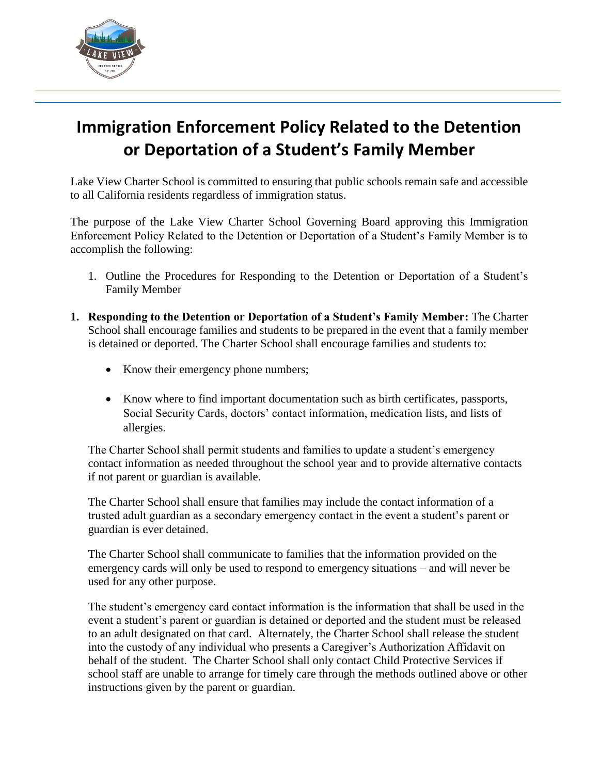

## **Immigration Enforcement Policy Related to the Detention or Deportation of a Student's Family Member**

Lake View Charter School is committed to ensuring that public schools remain safe and accessible to all California residents regardless of immigration status.

The purpose of the Lake View Charter School Governing Board approving this Immigration Enforcement Policy Related to the Detention or Deportation of a Student's Family Member is to accomplish the following:

- 1. Outline the Procedures for Responding to the Detention or Deportation of a Student's Family Member
- **1. Responding to the Detention or Deportation of a Student's Family Member:** The Charter School shall encourage families and students to be prepared in the event that a family member is detained or deported. The Charter School shall encourage families and students to:
	- Know their emergency phone numbers;
	- Know where to find important documentation such as birth certificates, passports, Social Security Cards, doctors' contact information, medication lists, and lists of allergies.

The Charter School shall permit students and families to update a student's emergency contact information as needed throughout the school year and to provide alternative contacts if not parent or guardian is available.

The Charter School shall ensure that families may include the contact information of a trusted adult guardian as a secondary emergency contact in the event a student's parent or guardian is ever detained.

The Charter School shall communicate to families that the information provided on the emergency cards will only be used to respond to emergency situations – and will never be used for any other purpose.

The student's emergency card contact information is the information that shall be used in the event a student's parent or guardian is detained or deported and the student must be released to an adult designated on that card. Alternately, the Charter School shall release the student into the custody of any individual who presents a Caregiver's Authorization Affidavit on behalf of the student. The Charter School shall only contact Child Protective Services if school staff are unable to arrange for timely care through the methods outlined above or other instructions given by the parent or guardian.